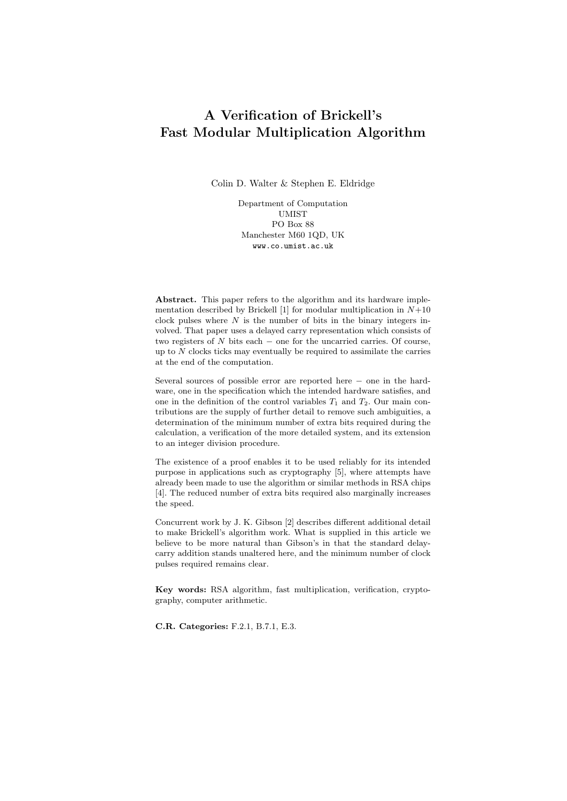# A Verification of Brickell's Fast Modular Multiplication Algorithm

Colin D. Walter & Stephen E. Eldridge

Department of Computation UMIST PO Box 88 Manchester M60 1QD, UK www.co.umist.ac.uk

Abstract. This paper refers to the algorithm and its hardware implementation described by Brickell [1] for modular multiplication in  $N+10$ clock pulses where  $N$  is the number of bits in the binary integers involved. That paper uses a delayed carry representation which consists of two registers of  $N$  bits each  $-$  one for the uncarried carries. Of course, up to  $N$  clocks ticks may eventually be required to assimilate the carries at the end of the computation.

Several sources of possible error are reported here − one in the hardware, one in the specification which the intended hardware satisfies, and one in the definition of the control variables  $T_1$  and  $T_2$ . Our main contributions are the supply of further detail to remove such ambiguities, a determination of the minimum number of extra bits required during the calculation, a verification of the more detailed system, and its extension to an integer division procedure.

The existence of a proof enables it to be used reliably for its intended purpose in applications such as cryptography [5], where attempts have already been made to use the algorithm or similar methods in RSA chips [4]. The reduced number of extra bits required also marginally increases the speed.

Concurrent work by J. K. Gibson [2] describes different additional detail to make Brickell's algorithm work. What is supplied in this article we believe to be more natural than Gibson's in that the standard delaycarry addition stands unaltered here, and the minimum number of clock pulses required remains clear.

Key words: RSA algorithm, fast multiplication, verification, cryptography, computer arithmetic.

C.R. Categories: F.2.1, B.7.1, E.3.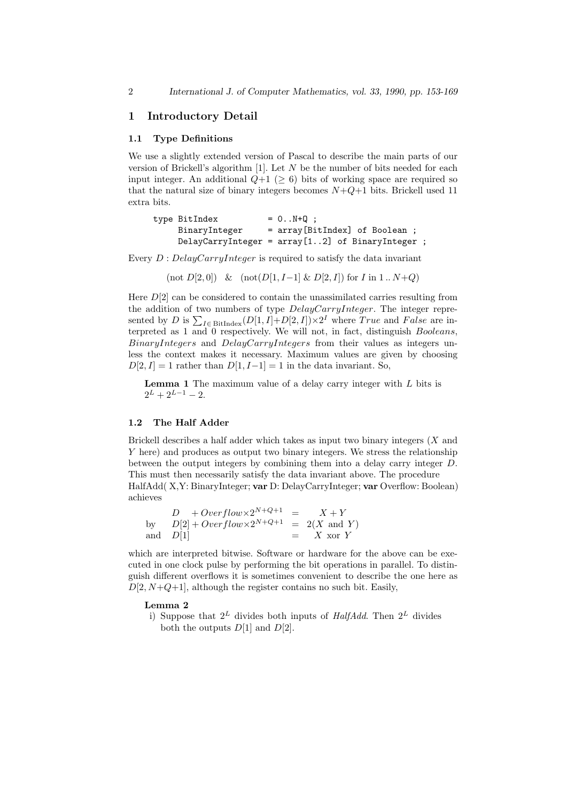## 1 Introductory Detail

### 1.1 Type Definitions

We use a slightly extended version of Pascal to describe the main parts of our version of Brickell's algorithm  $[1]$ . Let N be the number of bits needed for each input integer. An additional  $Q+1$  ( $\geq 6$ ) bits of working space are required so that the natural size of binary integers becomes  $N+Q+1$  bits. Brickell used 11 extra bits.

type BitIndex =  $0..N+Q$ ; BinaryInteger = array[BitIndex] of Boolean ; DelayCarryInteger =  $array[1..2]$  of BinaryInteger;

Every  $D: DelayCarryInteger$  is required to satisfy the data invariant

 $(\text{not } D[2, 0]) \& (\text{not}(D[1, I-1] \& D[2, I]) \text{ for } I \text{ in } 1 \dots N+Q)$ 

Here  $D[2]$  can be considered to contain the unassimilated carries resulting from the addition of two numbers of type DelayCarryInteger. The integer represented by D is  $\sum_{I \in \text{BitIndex}} (D[1, I] + D[2, I]) \times 2^I$  where True and False are interpreted as 1 and 0 respectively. We will not, in fact, distinguish Booleans, BinaryIntegers and DelayCarryIntegers from their values as integers unless the context makes it necessary. Maximum values are given by choosing  $D[2, I] = 1$  rather than  $D[1, I-1] = 1$  in the data invariant. So,

**Lemma 1** The maximum value of a delay carry integer with  $L$  bits is  $2^L + 2^{L-1} - 2$ .

# 1.2 The Half Adder

Brickell describes a half adder which takes as input two binary integers  $(X \text{ and } Y)$ Y here) and produces as output two binary integers. We stress the relationship between the output integers by combining them into a delay carry integer D. This must then necessarily satisfy the data invariant above. The procedure HalfAdd( X,Y: BinaryInteger; var D: DelayCarryInteger; var Overflow: Boolean) achieves

| $D + Overflow \times 2^{N+Q+1} = X + Y$                     |             |
|-------------------------------------------------------------|-------------|
| by $D[2] + Overflow \times 2^{N+Q+1} = 2(X \text{ and } Y)$ |             |
| and $D[1]$                                                  | $=$ X xor Y |

which are interpreted bitwise. Software or hardware for the above can be executed in one clock pulse by performing the bit operations in parallel. To distinguish different overflows it is sometimes convenient to describe the one here as  $D[2, N+Q+1]$ , although the register contains no such bit. Easily,

### Lemma 2

i) Suppose that  $2^L$  divides both inputs of HalfAdd. Then  $2^L$  divides both the outputs  $D[1]$  and  $D[2]$ .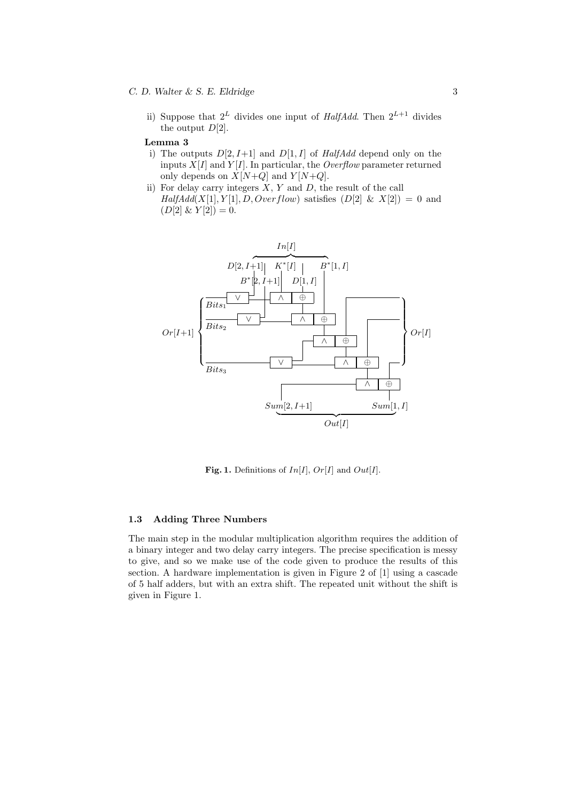ii) Suppose that  $2^L$  divides one input of HalfAdd. Then  $2^{L+1}$  divides the output  $D[2]$ .

### Lemma 3

- i) The outputs  $D[2, I+1]$  and  $D[1, I]$  of HalfAdd depend only on the inputs  $X[I]$  and  $Y[I]$ . In particular, the *Overflow* parameter returned only depends on  $X[N+Q]$  and  $Y[N+Q]$ .
- ii) For delay carry integers  $\hat{X}$ ,  $\hat{Y}$  and  $\hat{D}$ , the result of the call  $HalfAdd(X[1], Y[1], D, Overflow)$  satisfies  $(D[2] \& X[2]) = 0$  and  $(D[2] \& Y[2]) = 0.$



Fig. 1. Definitions of  $In[I], Or[I]$  and  $Out[I]$ .

### 1.3 Adding Three Numbers

The main step in the modular multiplication algorithm requires the addition of a binary integer and two delay carry integers. The precise specification is messy to give, and so we make use of the code given to produce the results of this section. A hardware implementation is given in Figure 2 of [1] using a cascade of 5 half adders, but with an extra shift. The repeated unit without the shift is given in Figure 1.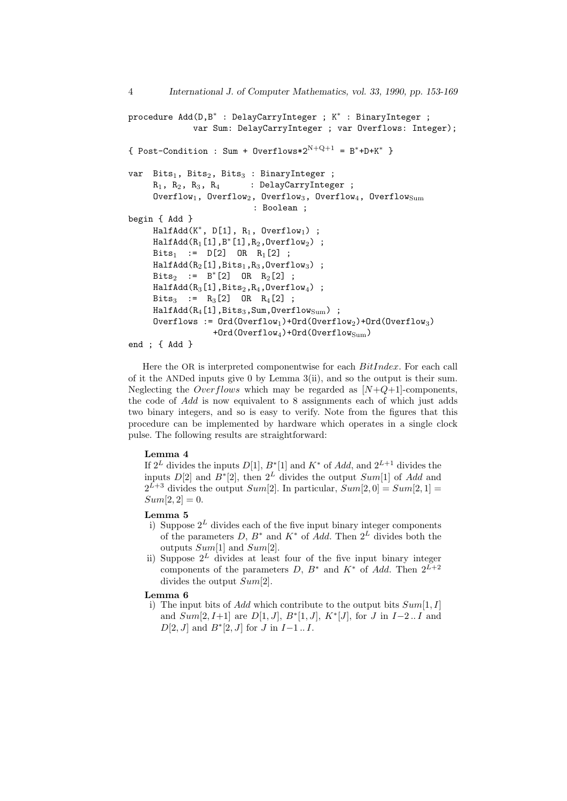```
procedure Add(D,B<sup>*</sup> : DelayCarryInteger ; K<sup>*</sup> : BinaryInteger ;
                 var Sum: DelayCarryInteger ; var Overflows: Integer);
\{ Post-Condition : Sum + Overflows * 2^{N+Q+1} = B^* + D+K^* \}var Bits<sub>1</sub>, Bits<sub>2</sub>, Bits<sub>3</sub> : BinaryInteger ;
       R_1, R_2, R_3, R_4 : DelayCarryInteger ;
       0verflow<sub>1</sub>, 0verflow<sub>2</sub>, 0verflow<sub>3</sub>, 0verflow<sub>Sum</sub>
                                  : Boolean ;
begin { Add }
       HalfAdd(K^*, D[1], R_1, Overflow_1);
      \texttt{HalfAdd}(R_1[1],B^*[1],R_2,\texttt{Overflow}_2) ;
      Bits<sub>1</sub> := D[2] OR R_1[2];
      HalfAdd(R_2[1], Bits_1,R_3,Overflow_3);
      Bits<sub>2</sub> := B^*[2] OR R_2[2] ;
      H\text{alfAdd}(R_3[1], \text{Bits}_2, R_4, \text{Overflow}_4) ;
      Bits_3 := R_3[2] OR R_4[2];
      H\text{alfAdd}(R_4[1], \text{Bits}_3, \text{Sum}, \text{Overflow}_{\text{Sum}}) ;
       Overflows := Ord(Overflow_1)+Ord(Overflow_2)+Ord(Overflow_3)+Ord(Overflow<sub>4</sub>)+Ord(Overflow<sub>Sum</sub>)end ; { Add }
```

```
Here the OR is interpreted componentwise for each BitIndex. For each call
of it the ANDed inputs give 0 by Lemma 3(ii), and so the output is their sum.
Neglecting the Overflows which may be regarded as [N+Q+1]-components,
the code of Add is now equivalent to 8 assignments each of which just adds
two binary integers, and so is easy to verify. Note from the figures that this
procedure can be implemented by hardware which operates in a single clock
pulse. The following results are straightforward:
```
# Lemma 4

If  $2^L$  divides the inputs  $D[1], B^*[1]$  and  $K^*$  of Add, and  $2^{L+1}$  divides the inputs  $D[2]$  and  $B^*[2]$ , then  $2^L$  divides the output  $Sum[1]$  of Add and  $2^{L+3}$  divides the output  $Sum[2]$ . In particular,  $Sum[2, 0] = Sum[2, 1] =$  $Sum[2, 2] = 0.$ 

# Lemma 5

- i) Suppose  $2^L$  divides each of the five input binary integer components of the parameters D,  $B^*$  and  $K^*$  of Add. Then  $2^L$  divides both the outputs Sum[1] and Sum[2].
- ii) Suppose  $2^L$  divides at least four of the five input binary integer components of the parameters D,  $B^*$  and  $K^*$  of Add. Then  $2^{L+2}$ divides the output Sum[2].

### Lemma 6

i) The input bits of Add which contribute to the output bits  $Sum[1, I]$ and  $Sum[2, I+1]$  are  $D[1, J], B^*[1, J], K^*[J],$  for J in  $I-2 \dots I$  and  $D[2, J]$  and  $B^*[2, J]$  for J in  $I-1...I$ .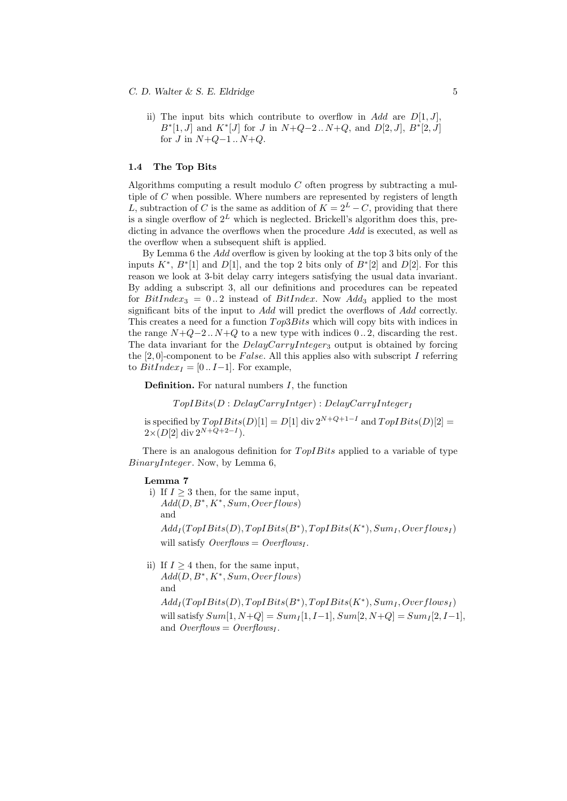ii) The input bits which contribute to overflow in Add are  $D[1, J]$ ,  $B^*[1, J]$  and  $K^*[J]$  for J in  $N+Q-2...N+Q$ , and  $D[2, J]$ ,  $B^*[2, J]$ for  $J$  in  $N+Q-1$ ..  $N+Q$ .

### 1.4 The Top Bits

Algorithms computing a result modulo  $C$  often progress by subtracting a multiple of C when possible. Where numbers are represented by registers of length L, subtraction of C is the same as addition of  $K = 2^L - C$ , providing that there is a single overflow of  $2^L$  which is neglected. Brickell's algorithm does this, predicting in advance the overflows when the procedure Add is executed, as well as the overflow when a subsequent shift is applied.

By Lemma 6 the Add overflow is given by looking at the top 3 bits only of the inputs  $K^*$ ,  $B^*[1]$  and  $D[1]$ , and the top 2 bits only of  $B^*[2]$  and  $D[2]$ . For this reason we look at 3-bit delay carry integers satisfying the usual data invariant. By adding a subscript 3, all our definitions and procedures can be repeated for  $BitIndex_3 = 0..2$  instead of  $BitIndex$ . Now  $Add_3$  applied to the most significant bits of the input to Add will predict the overflows of Add correctly. This creates a need for a function  $Top3Bits$  which will copy bits with indices in the range  $N+Q-2$ ..  $N+Q$  to a new type with indices 0..2, discarding the rest. The data invariant for the  $DelayCarryInteger_3$  output is obtained by forcing the  $[2, 0]$ -component to be *False*. All this applies also with subscript I referring to  $BitIndex_I = [0..I-1]$ . For example,

**Definition.** For natural numbers  $I$ , the function

 $TopIBits(D:DelayCarryInteger): DelayCarryInteger$ 

is specified by  $TopIBits(D)[1] = D[1]$  div  $2^{N+Q+1-I}$  and  $TopIBits(D)[2] =$  $2\times(D[2] \text{ div } 2^{N+Q+2-I}).$ 

There is an analogous definition for  $TopIBits$  applied to a variable of type BinaryInteger. Now, by Lemma 6,

### Lemma 7

i) If  $I \geq 3$  then, for the same input,  $Add(D, B^*, K^*, Sum, Overflows)$ and  $Add_I(TopIBits(D), TopIBits(B^*), TopIBits(K^*), Sum_I, Overflows_I)$ will satisfy  $Overflows = Overflows_I$ .

ii) If  $I \geq 4$  then, for the same input,  $Add(D, B^*, K^*, Sum, Overflows)$ and

 $Add_I(TopIBits(D), TopIBits(B^*), TopIBits(K^*), Sum_I, Overflows_I)$ will satisfy  $Sum[1, N+Q] = Sum_I[1, I-1], Sum[2, N+Q] = Sum_I[2, I-1],$ and  $Overflows = Overflows_I$ .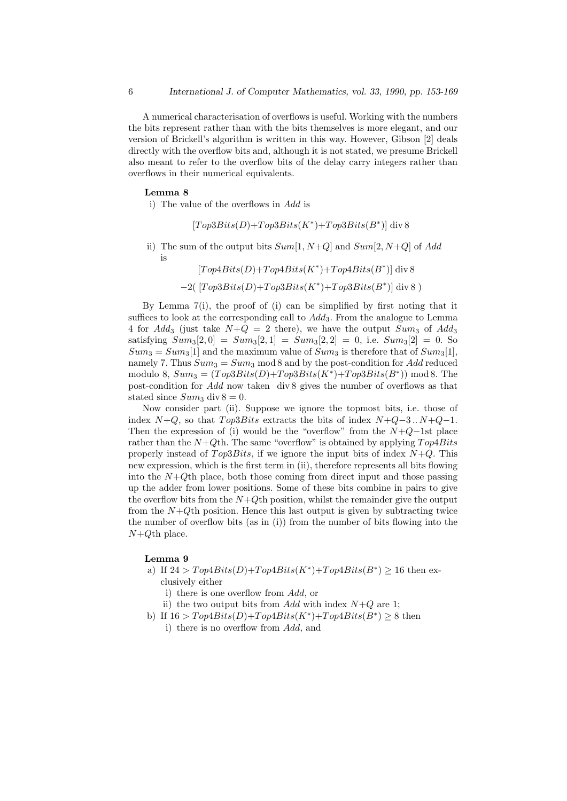A numerical characterisation of overflows is useful. Working with the numbers the bits represent rather than with the bits themselves is more elegant, and our version of Brickell's algorithm is written in this way. However, Gibson [2] deals directly with the overflow bits and, although it is not stated, we presume Brickell also meant to refer to the overflow bits of the delay carry integers rather than overflows in their numerical equivalents.

### Lemma 8

i) The value of the overflows in Add is

 $[Top3Bits(D)+Top3Bits(K^*)+Top3Bits(B^*)]$  div 8

ii) The sum of the output bits  $Sum[1, N+Q]$  and  $Sum[2, N+Q]$  of Add is

> $[Top4Bits(D)+Top4Bits(K^*)+Top4Bits(B^*)]$  div 8  $-2([Top3Bits(D)+Top3Bits(K^*)+Top3Bits(B^*)]div 8)$

By Lemma 7(i), the proof of (i) can be simplified by first noting that it suffices to look at the corresponding call to  $Add_3$ . From the analogue to Lemma 4 for Add<sub>3</sub> (just take  $N+Q = 2$  there), we have the output  $Sum_3$  of Add<sub>3</sub> satisfying  $Sum_3[2, 0] = Sum_3[2, 1] = Sum_3[2, 2] = 0$ , i.e.  $Sum_3[2] = 0$ . So  $Sum_3 = Sum_3[1]$  and the maximum value of  $Sum_3$  is therefore that of  $Sum_3[1]$ , namely 7. Thus  $Sum_3 = Sum_3 \text{ mod } 8$  and by the post-condition for Add reduced modulo 8,  $Sum_3 = (Top3Bits(D) + Top3Bits(K^*) + Top3Bits(B^*)) \mod 8$ . The post-condition for Add now taken div 8 gives the number of overflows as that stated since  $Sum_3$  div  $8 = 0$ .

Now consider part (ii). Suppose we ignore the topmost bits, i.e. those of index  $N+Q$ , so that  $Top3Bits$  extracts the bits of index  $N+Q-3 \dots N+Q-1$ . Then the expression of (i) would be the "overflow" from the  $N+Q-1$ st place rather than the  $N+Q$ th. The same "overflow" is obtained by applying  $Top4Bits$ properly instead of  $Top3Bits$ , if we ignore the input bits of index  $N+Q$ . This new expression, which is the first term in (ii), therefore represents all bits flowing into the  $N+Q$ th place, both those coming from direct input and those passing up the adder from lower positions. Some of these bits combine in pairs to give the overflow bits from the  $N+Q$ th position, whilst the remainder give the output from the  $N+Q$ th position. Hence this last output is given by subtracting twice the number of overflow bits (as in  $(i)$ ) from the number of bits flowing into the  $N+Q$ th place.

#### Lemma 9

- a) If  $24 > Top4Bits(D) + Top4Bits(K^*) + Top4Bits(B^*) \ge 16$  then exclusively either
	- i) there is one overflow from Add, or
	- ii) the two output bits from Add with index  $N+Q$  are 1;
- b) If  $16 > Top4Bits(D) + Top4Bits(K^*) + Top4Bits(B^*) \ge 8$  then i) there is no overflow from Add, and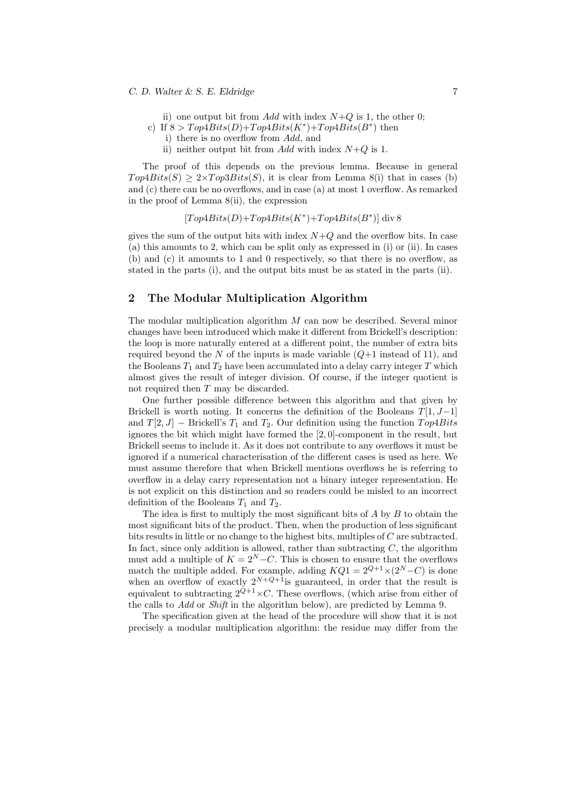$C. D. Walter & S. E. Eldridge$  7

ii) one output bit from Add with index  $N+Q$  is 1, the other 0;

- c) If  $8 > Top4Bits(D) + Top4Bits(K^*) + Top4Bits(B^*)$  then
	- i) there is no overflow from Add, and
	- ii) neither output bit from Add with index  $N+Q$  is 1.

The proof of this depends on the previous lemma. Because in general  $Top4Bits(S) \geq 2 \times Top3Bits(S)$ , it is clear from Lemma 8(i) that in cases (b) and (c) there can be no overflows, and in case (a) at most 1 overflow. As remarked in the proof of Lemma 8(ii), the expression

 $[Top4Bits(D)+Top4Bits(K^*)+Top4Bits(B^*)]$  div 8

gives the sum of the output bits with index  $N+Q$  and the overflow bits. In case (a) this amounts to 2, which can be split only as expressed in (i) or (ii). In cases (b) and (c) it amounts to 1 and 0 respectively, so that there is no overflow, as stated in the parts (i), and the output bits must be as stated in the parts (ii).

# 2 The Modular Multiplication Algorithm

The modular multiplication algorithm  $M$  can now be described. Several minor changes have been introduced which make it different from Brickell's description: the loop is more naturally entered at a different point, the number of extra bits required beyond the N of the inputs is made variable  $(Q+1)$  instead of 11), and the Booleans  $T_1$  and  $T_2$  have been accumulated into a delay carry integer  $T$  which almost gives the result of integer division. Of course, if the integer quotient is not required then T may be discarded.

One further possible difference between this algorithm and that given by Brickell is worth noting. It concerns the definition of the Booleans  $T[1, J-1]$ and  $T[2, J]$  – Brickell's  $T_1$  and  $T_2$ . Our definition using the function  $Top4Bits$ ignores the bit which might have formed the [2, 0]-component in the result, but Brickell seems to include it. As it does not contribute to any overflows it must be ignored if a numerical characterisation of the different cases is used as here. We must assume therefore that when Brickell mentions overflows he is referring to overflow in a delay carry representation not a binary integer representation. He is not explicit on this distinction and so readers could be misled to an incorrect definition of the Booleans  $T_1$  and  $T_2$ .

The idea is first to multiply the most significant bits of  $A$  by  $B$  to obtain the most significant bits of the product. Then, when the production of less significant bits results in little or no change to the highest bits, multiples of C are subtracted. In fact, since only addition is allowed, rather than subtracting  $C$ , the algorithm must add a multiple of  $K = 2<sup>N</sup> - C$ . This is chosen to ensure that the overflows match the multiple added. For example, adding  $KQ1 = 2^{Q+1} \times (2^N - C)$  is done when an overflow of exactly  $2^{N+Q+1}$  is guaranteed, in order that the result is equivalent to subtracting  $2^{Q+1} \times C$ . These overflows, (which arise from either of the calls to Add or Shift in the algorithm below), are predicted by Lemma 9.

The specification given at the head of the procedure will show that it is not precisely a modular multiplication algorithm: the residue may differ from the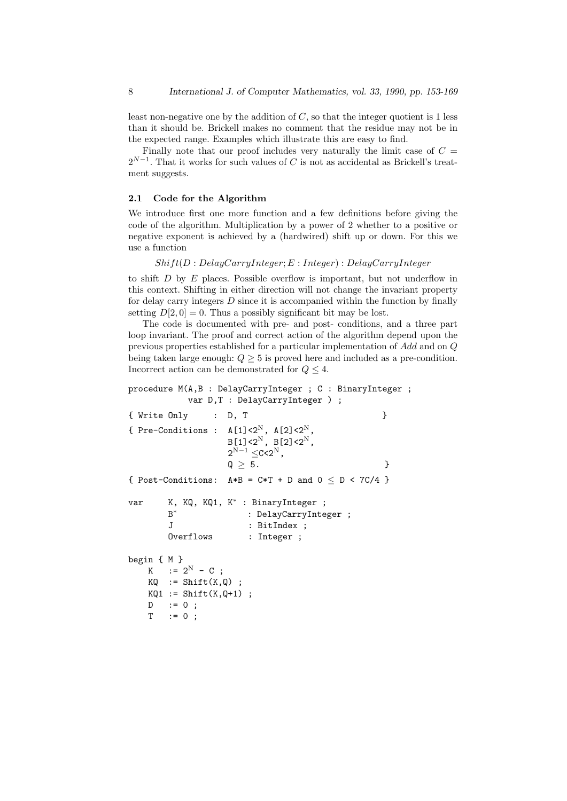least non-negative one by the addition of  $C$ , so that the integer quotient is 1 less than it should be. Brickell makes no comment that the residue may not be in the expected range. Examples which illustrate this are easy to find.

Finally note that our proof includes very naturally the limit case of  $C =$  $2^{N-1}$ . That it works for such values of C is not as accidental as Brickell's treatment suggests.

### 2.1 Code for the Algorithm

We introduce first one more function and a few definitions before giving the code of the algorithm. Multiplication by a power of 2 whether to a positive or negative exponent is achieved by a (hardwired) shift up or down. For this we use a function

 $Shift(D:DelayCarryInteger; E: Integer): DelayCarryInteger$ 

to shift D by E places. Possible overflow is important, but not underflow in this context. Shifting in either direction will not change the invariant property for delay carry integers  $D$  since it is accompanied within the function by finally setting  $D[2,0] = 0$ . Thus a possibly significant bit may be lost.

The code is documented with pre- and post- conditions, and a three part loop invariant. The proof and correct action of the algorithm depend upon the previous properties established for a particular implementation of Add and on Q being taken large enough:  $Q > 5$  is proved here and included as a pre-condition. Incorrect action can be demonstrated for  $Q \leq 4$ .

```
procedure M(A,B : DelayCarryInteger ; C : BinaryInteger ;
           var D,T : DelayCarryInteger ) ;
{ Write Only : D. T
{ Pre-Conditions : A[1]<sub>2</sub>N, A[2]<sub>2</sub>NB[1]<sub>2</sub>N, B[2]<sub>2</sub>N,
                   2^{\rm N-1} \leqC<2^{\rm N},
                   Q \geq 5.{ Post-Conditions: A*B = C*T + D and 0 \le D < 7C/4 }
var K, KQ, KQ1, K<sup>*</sup> : BinaryInteger ;
       B^*∗ : DelayCarryInteger ;
       J : BitIndex ;
       Overflows : Integer ;
begin { M }
   K := 2^N - C;
   KO := Shift(K,Q);
   KQ1 := Shift(K,Q+1);
   D : = 0;T : = 0;
```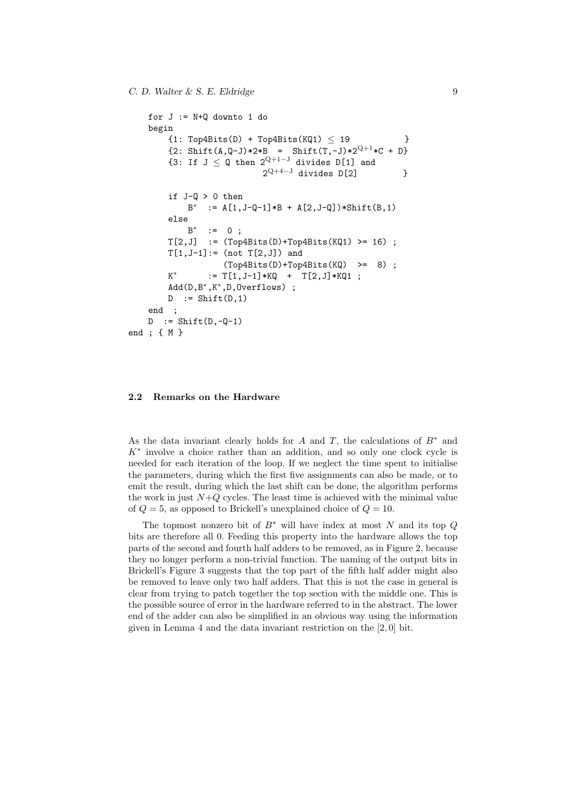```
for J := N+Q downto 1 do
   begin
        {1: Top4Bits(D) + Top4Bits(KQ1) \leq 19 }
        {2: Shift(A, Q-J)*2*B = Shift(T, -J)*2^{Q+1}*C + D}{3: If J < Q then 2^{Q+1-J} divides D[1] and}2^{{\rm Q}+4-J} divides D[2] }
        if J-Q > 0 then
           B^*: A[1, J-Q-1]*B + A[2, J-Q])*Shift(B, 1)else
           B^*:= 0;T[2,J] := (Top4Bits(D)+Top4Bits(KQ1) \geq 16);
       T[1,J-1] := (not T[2,J]) and
                   (Top4Bits(D)+Top4Bits(KQ) >= 8) ;
       K^*∗ := T[1,J-1]*KQ + T[2,J]*KQ1 ;
        Add(D,B∗,K∗,D,Overflows) ;
       D := Shift(D, 1)end ;
   D := Shift(D, -Q-1)end ; { M }
```
#### 2.2 Remarks on the Hardware

As the data invariant clearly holds for A and T, the calculations of  $B^*$  and K<sup>∗</sup> involve a choice rather than an addition, and so only one clock cycle is needed for each iteration of the loop. If we neglect the time spent to initialise the parameters, during which the first five assignments can also be made, or to emit the result, during which the last shift can be done, the algorithm performs the work in just  $N+Q$  cycles. The least time is achieved with the minimal value of  $Q = 5$ , as opposed to Brickell's unexplained choice of  $Q = 10$ .

The topmost nonzero bit of  $B^*$  will have index at most N and its top Q bits are therefore all 0. Feeding this property into the hardware allows the top parts of the second and fourth half adders to be removed, as in Figure 2, because they no longer perform a non-trivial function. The naming of the output bits in Brickell's Figure 3 suggests that the top part of the fifth half adder might also be removed to leave only two half adders. That this is not the case in general is clear from trying to patch together the top section with the middle one. This is the possible source of error in the hardware referred to in the abstract. The lower end of the adder can also be simplified in an obvious way using the information given in Lemma 4 and the data invariant restriction on the [2, 0] bit.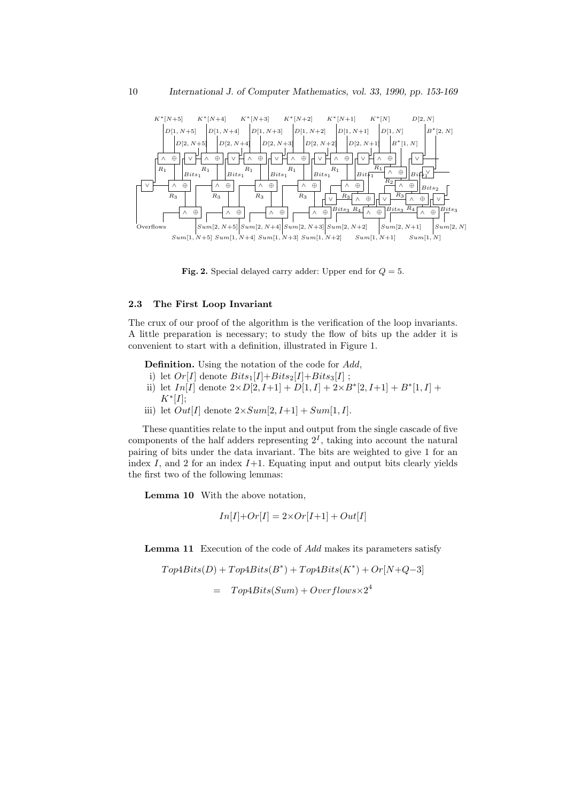

Fig. 2. Special delayed carry adder: Upper end for  $Q = 5$ .

### 2.3 The First Loop Invariant

The crux of our proof of the algorithm is the verification of the loop invariants. A little preparation is necessary; to study the flow of bits up the adder it is convenient to start with a definition, illustrated in Figure 1.

Definition. Using the notation of the code for Add,

- i) let  $Or[I]$  denote  $Bits_1[I]+Bits_2[I]+Bits_3[I]$ ;
- ii) let  $In[I]$  denote  $2 \times D[2, I+1] + D[1, I] + 2 \times B^*[2, I+1] + B^*[1, I] +$  $K^*[I];$
- iii) let  $Out[I]$  denote  $2 \times Sum[2, I+1] + Sum[1, I]$ .

These quantities relate to the input and output from the single cascade of five components of the half adders representing  $2<sup>I</sup>$ , taking into account the natural pairing of bits under the data invariant. The bits are weighted to give 1 for an index  $I$ , and 2 for an index  $I+1$ . Equating input and output bits clearly yields the first two of the following lemmas:

Lemma 10 With the above notation,

$$
In[I] + Or[I] = 2 \times Or[I+1] + Out[I]
$$

Lemma 11 Execution of the code of Add makes its parameters satisfy

 $Top 4 \text{B} its (D) + Top 4 \text{B} its (B^*) + Top 4 \text{B} its (K^*) + Or [N + Q - 3]$  $= Top4Bits(Sum) + Overflows \times 2^4$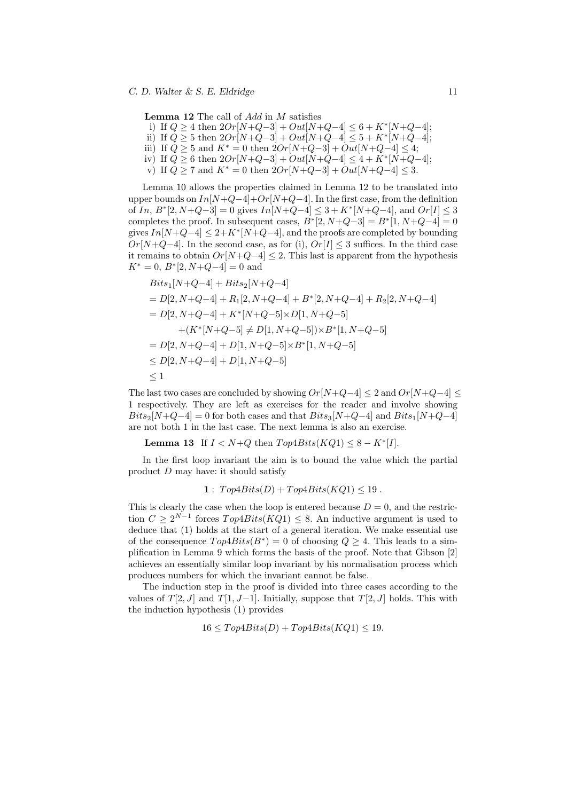**Lemma 12** The call of  $Add$  in  $M$  satisfies

i) If  $Q \ge 4$  then  $2Or[N+Q-3] + Out[N+Q-4] \le 6 + K^*[N+Q-4]$ ;

- ii) If  $Q \ge 5$  then  $2Or[N+Q-3]+Out[N+Q-4] \le 5+K^*[N+Q-4]$ ;
- iii) If  $Q \ge 5$  and  $K^* = 0$  then  $2Or[N+Q-3]+Out[N+Q-4] \le 4$ ;
- iv) If  $Q \ge 6$  then  $2Or[N+Q-3] + Out[N+Q-4] \le 4 + K^*[N+Q-4]$ ;
- v) If  $Q \ge 7$  and  $K^* = 0$  then  $2Or[N+Q-3] + Out[N+Q-4] \le 3$ .

Lemma 10 allows the properties claimed in Lemma 12 to be translated into upper bounds on  $In[N+Q-4]+Or[N+Q-4]$ . In the first case, from the definition of In,  $B^*[2, N+Q-3] = 0$  gives  $In[N+Q-4] \leq 3 + K^*[N+Q-4]$ , and  $Or[I] \leq 3$ completes the proof. In subsequent cases,  $B^*[2, N+Q-3] = B^*[1, N+Q-4] = 0$ gives  $In[N+Q-4] \leq 2+K^*[N+Q-4]$ , and the proofs are completed by bounding  $Or[N+Q-4]$ . In the second case, as for (i),  $Or[I] \leq 3$  suffices. In the third case it remains to obtain  $Or[N+Q-4] \leq 2$ . This last is apparent from the hypothesis  $K^* = 0, B^*[2, N+Q-4] = 0$  and

$$
Bits_1[N+Q-4] + Bits_2[N+Q-4]
$$
  
= D[2, N+Q-4] + R<sub>1</sub>[2, N+Q-4] + B<sup>\*</sup>[2, N+Q-4] + R<sub>2</sub>[2, N+Q-4]  
= D[2, N+Q-4] + K<sup>\*</sup>[N+Q-5] × D[1, N+Q-5]  
+ (K<sup>\*</sup>[N+Q-5] \neq D[1, N+Q-5]) × B<sup>\*</sup>[1, N+Q-5]  
= D[2, N+Q-4] + D[1, N+Q-5] × B<sup>\*</sup>[1, N+Q-5]  
 $\leq D[2, N+Q-4] + D[1, N+Q-5]$   
 $\leq 1$ 

The last two cases are concluded by showing  $Or[N+Q-4] \leq 2$  and  $Or[N+Q-4] \leq$ 1 respectively. They are left as exercises for the reader and involve showing  $Bits_2[N+Q-4] = 0$  for both cases and that  $Bits_3[N+Q-4]$  and  $Bits_1[N+Q-4]$ are not both 1 in the last case. The next lemma is also an exercise.

**Lemma 13** If  $I < N + Q$  then  $Top4Bits(KQ1) \leq 8 - K^*[I]$ .

In the first loop invariant the aim is to bound the value which the partial product D may have: it should satisfy

$$
1: Top4Bits(D) + Top4Bits(KQ1) \le 19.
$$

This is clearly the case when the loop is entered because  $D = 0$ , and the restriction  $C \ge 2^{N-1}$  forces  $Top4Bits(KQ1) \le 8$ . An inductive argument is used to deduce that (1) holds at the start of a general iteration. We make essential use of the consequence  $Top4Bits(B^*) = 0$  of choosing  $Q \geq 4$ . This leads to a simplification in Lemma 9 which forms the basis of the proof. Note that Gibson [2] achieves an essentially similar loop invariant by his normalisation process which produces numbers for which the invariant cannot be false.

The induction step in the proof is divided into three cases according to the values of  $T[2, J]$  and  $T[1, J-1]$ . Initially, suppose that  $T[2, J]$  holds. This with the induction hypothesis (1) provides

$$
16 \le Top4Bits(D) + Top4Bits(KQ1) \le 19.
$$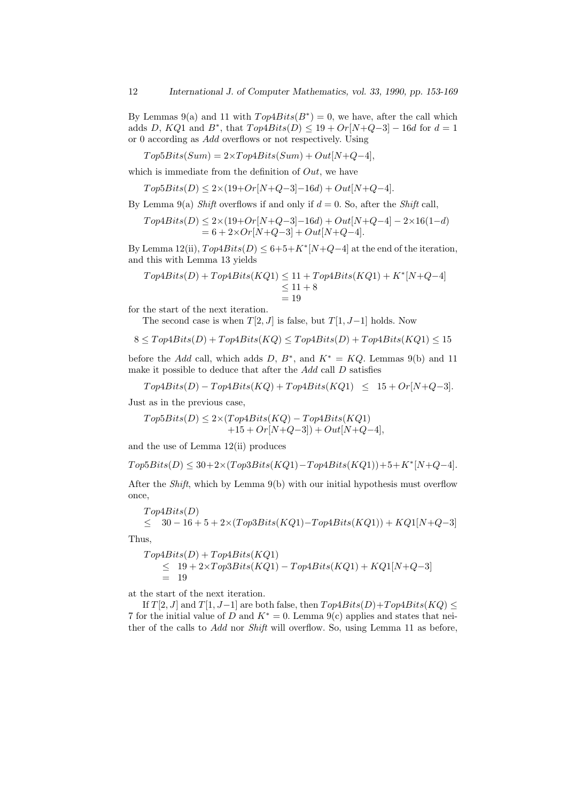By Lemmas 9(a) and 11 with  $Top4Bits(B^*)=0$ , we have, after the call which adds D, KQ1 and B<sup>\*</sup>, that  $Top4Bits(D) \le 19 + Or[N+Q-3] - 16d$  for  $d = 1$ or 0 according as Add overflows or not respectively. Using

 $Top5Bits(Sum) = 2\times Top4Bits(Sum) + Out[N+Q-4],$ 

which is immediate from the definition of  $Out$ , we have

 $Top5Bits(D) \leq 2 \times (19+Or[N+Q-3]-16d) + Out[N+Q-4].$ 

By Lemma 9(a) Shift overflows if and only if  $d = 0$ . So, after the Shift call,

$$
Top4Bits(D) \le 2 \times (19+Or[N+Q-3]-16d) + Out[N+Q-4] - 2 \times 16(1-d)
$$
  
= 6 + 2 \times Or[N+Q-3] + Out[N+Q-4].

By Lemma 12(ii),  $Top4Bits(D) \leq 6+5+K^*[N+Q-4]$  at the end of the iteration, and this with Lemma 13 yields

$$
Top4Bits(D) + Top4Bits(KQ1) \le 11 + Top4Bits(KQ1) + K^*[N+Q-4]
$$
  

$$
\le 11 + 8
$$
  

$$
= 19
$$

for the start of the next iteration.

The second case is when  $T[2, J]$  is false, but  $T[1, J-1]$  holds. Now

$$
8 \le Top4Bits(D) + Top4Bits(KQ) \le Top4Bits(D) + Top4Bits(KQ1) \le 15
$$

before the Add call, which adds D,  $B^*$ , and  $K^* = KQ$ . Lemmas 9(b) and 11 make it possible to deduce that after the Add call D satisfies

$$
Top 4Bits(D) - Top 4Bits(KQ) + Top 4Bits(KQ1) \leq 15 + Or[N+Q-3].
$$

Just as in the previous case,

 $Top5Bits(D) \leq 2 \times (Top4Bits(KQ) - Top4Bits(KQ1))$  $+15 + Or[N+Q-3]$ ) +  $Out[N+Q-4]$ ,

and the use of Lemma 12(ii) produces

$$
Top5Bits(D) \le 30 + 2 \times (Top3Bits(KQ1) - Top4Bits(KQ1)) + 5 + K^*[N+Q-4].
$$

After the Shift, which by Lemma 9(b) with our initial hypothesis must overflow once,

$$
Top 4Bits(D)
$$
  
\n
$$
\leq 30 - 16 + 5 + 2 \times (Top 3Bits(KQ1) - Top 4Bits(KQ1)) + KQ1[N+Q-3]
$$

Thus,

$$
Top4Bits(D) + Top4Bits(KQ1)
$$
  
\n
$$
\leq 19 + 2 \times Top3Bits(KQ1) - Top4Bits(KQ1) + KQ1[N+Q-3]
$$
  
\n
$$
= 19
$$

at the start of the next iteration.

If  $T[2, J]$  and  $T[1, J-1]$  are both false, then  $Top4Bits(D)+Top4Bits(KQ)$ 7 for the initial value of D and  $K^* = 0$ . Lemma 9(c) applies and states that neither of the calls to Add nor Shift will overflow. So, using Lemma 11 as before,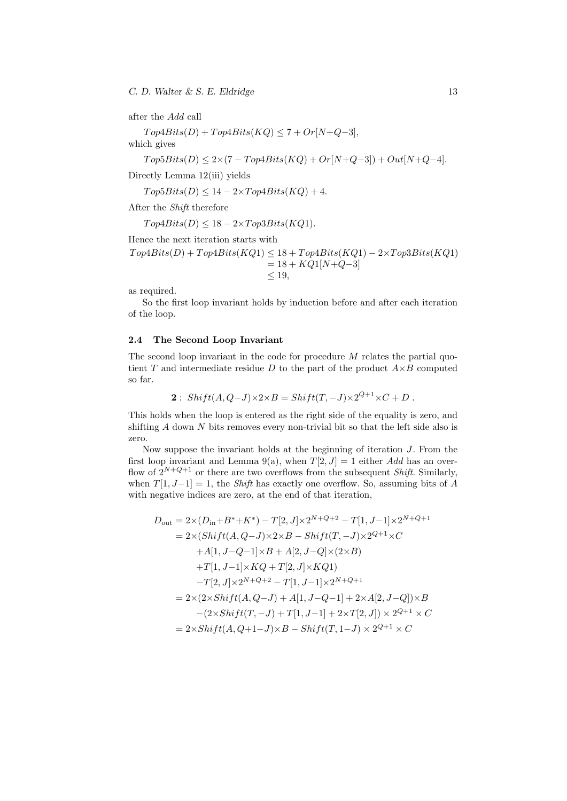$C. D. Walter & S. E. Eldridge$  13

after the Add call

 $Top4Bits(D) + Top4Bits(KQ) \leq 7 + Or[N+Q-3],$ 

which gives

$$
Top5Bits(D) \le 2 \times (7 - Top4Bits(KQ) + Or[N+Q-3]) + Out[N+Q-4].
$$

Directly Lemma 12(iii) yields

 $Top5Bits(D) \leq 14-2\times Top4Bits(KQ) + 4.$ 

After the Shift therefore

 $Top4Bits(D) \leq 18-2\times Top3Bits(KQ1).$ 

Hence the next iteration starts with

$$
Top4Bits(D) + Top4Bits(KQ1) \le 18 + Top4Bits(KQ1) - 2 \times Top3Bits(KQ1)
$$
  
= 18 + KQ1[N+Q-3]  

$$
\le 19,
$$

as required.

So the first loop invariant holds by induction before and after each iteration of the loop.

# 2.4 The Second Loop Invariant

The second loop invariant in the code for procedure  $M$  relates the partial quotient T and intermediate residue D to the part of the product  $A \times B$  computed so far.

$$
\mathbf{2}: \; Shift(A, Q-J) \times 2 \times B = Shift(T, -J) \times 2^{Q+1} \times C + D \; .
$$

This holds when the loop is entered as the right side of the equality is zero, and shifting  $A$  down  $N$  bits removes every non-trivial bit so that the left side also is zero.

Now suppose the invariant holds at the beginning of iteration J. From the first loop invariant and Lemma 9(a), when  $T[2, J] = 1$  either Add has an overflow of  $2^{N+Q+1}$  or there are two overflows from the subsequent *Shift*. Similarly, when  $T[1, J-1] = 1$ , the *Shift* has exactly one overflow. So, assuming bits of A with negative indices are zero, at the end of that iteration,

$$
D_{\text{out}} = 2 \times (D_{\text{in}} + B^* + K^*) - T[2, J] \times 2^{N+Q+2} - T[1, J-1] \times 2^{N+Q+1}
$$
  
\n
$$
= 2 \times (Shift(A, Q-J) \times 2 \times B - Shift(T, -J) \times 2^{Q+1} \times C
$$
  
\n
$$
+ A[1, J-Q-1] \times B + A[2, J-Q] \times (2 \times B)
$$
  
\n
$$
+ T[1, J-1] \times KQ + T[2, J] \times KQ1)
$$
  
\n
$$
- T[2, J] \times 2^{N+Q+2} - T[1, J-1] \times 2^{N+Q+1}
$$
  
\n
$$
= 2 \times (2 \times Shift(A, Q-J) + A[1, J-Q-1] + 2 \times A[2, J-Q]) \times B
$$
  
\n
$$
-(2 \times Shift(T, -J) + T[1, J-1] + 2 \times T[2, J]) \times 2^{Q+1} \times C
$$
  
\n
$$
= 2 \times Shift(A, Q+1-J) \times B - Shift(T, 1-J) \times 2^{Q+1} \times C
$$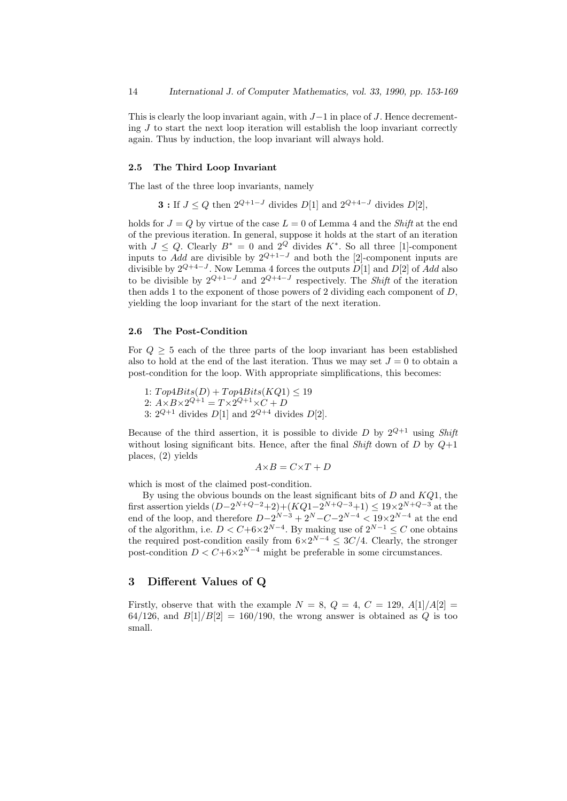This is clearly the loop invariant again, with  $J-1$  in place of J. Hence decrementing  $J$  to start the next loop iteration will establish the loop invariant correctly again. Thus by induction, the loop invariant will always hold.

### 2.5 The Third Loop Invariant

The last of the three loop invariants, namely

**3**: If 
$$
J \leq Q
$$
 then  $2^{Q+1-J}$  divides  $D[1]$  and  $2^{Q+4-J}$  divides  $D[2]$ ,

holds for  $J = Q$  by virtue of the case  $L = 0$  of Lemma 4 and the *Shift* at the end of the previous iteration. In general, suppose it holds at the start of an iteration with  $J \leq Q$ . Clearly  $B^* = 0$  and  $2^Q$  divides  $K^*$ . So all three [1]-component inputs to Add are divisible by  $2^{Q+1-J}$  and both the [2]-component inputs are divisible by  $2^{Q+4-J}$ . Now Lemma 4 forces the outputs  $D[1]$  and  $D[2]$  of Add also to be divisible by  $2^{Q+1-J}$  and  $2^{Q+4-J}$  respectively. The *Shift* of the iteration then adds 1 to the exponent of those powers of 2 dividing each component of  $D$ , yielding the loop invariant for the start of the next iteration.

# 2.6 The Post-Condition

For  $Q > 5$  each of the three parts of the loop invariant has been established also to hold at the end of the last iteration. Thus we may set  $J = 0$  to obtain a post-condition for the loop. With appropriate simplifications, this becomes:

1:  $Top4Bits(D) + Top4Bits(KQ1) \leq 19$ 2:  $A \times B \times 2^{Q+1} = T \times 2^{Q+1} \times C + D$ 3:  $2^{Q+1}$  divides  $D[1]$  and  $2^{Q+4}$  divides  $D[2]$ .

Because of the third assertion, it is possible to divide D by  $2^{Q+1}$  using Shift without losing significant bits. Hence, after the final *Shift* down of  $D$  by  $Q+1$ places, (2) yields

$$
A{\times}B=C{\times}T+D
$$

which is most of the claimed post-condition.

By using the obvious bounds on the least significant bits of  $D$  and  $KQ1$ , the first assertion yields  $(D-2^{N+Q-2}+2)+(KQ-12^{N+Q-3}+1) \leq 19 \times 2^{N+Q-3}$  at the end of the loop, and therefore  $D-2^{N-3}+2^N-C-2^{N-4} < 19\times 2^{N-4}$  at the end of the algorithm, i.e.  $D < C+6\times 2^{N-4}$ . By making use of  $2^{N-1} \le C$  one obtains the required post-condition easily from  $6 \times 2^{N-4} \leq 3C/4$ . Clearly, the stronger post-condition  $D < C + 6 \times 2^{N-4}$  might be preferable in some circumstances.

# 3 Different Values of Q

Firstly, observe that with the example  $N = 8$ ,  $Q = 4$ ,  $C = 129$ ,  $A[1]/A[2] =$ 64/126, and  $B[1]/B[2] = 160/190$ , the wrong answer is obtained as Q is too small.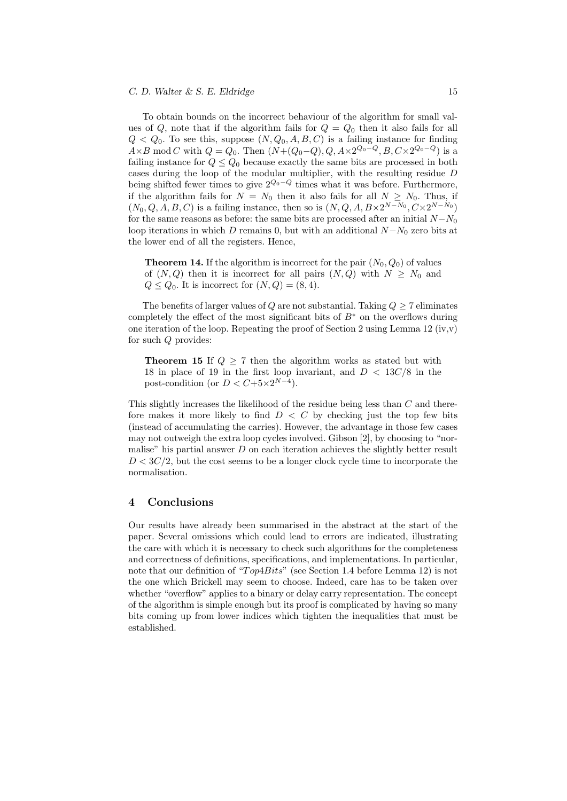To obtain bounds on the incorrect behaviour of the algorithm for small values of Q, note that if the algorithm fails for  $Q = Q_0$  then it also fails for all  $Q < Q_0$ . To see this, suppose  $(N, Q_0, A, B, C)$  is a failing instance for finding  $A\times B \mod C$  with  $Q=Q_0$ . Then  $(N+(Q_0-Q),Q,A\times 2^{Q_0-Q},B,C\times 2^{Q_0-Q})$  is a failing instance for  $Q \leq Q_0$  because exactly the same bits are processed in both cases during the loop of the modular multiplier, with the resulting residue D being shifted fewer times to give  $2^{Q_0-Q}$  times what it was before. Furthermore, if the algorithm fails for  $N = N_0$  then it also fails for all  $N \ge N_0$ . Thus, if  $(N_0, Q, A, B, C)$  is a failing instance, then so is  $(N, Q, A, B \times 2^{N-N_0}, C \times 2^{N-N_0})$ for the same reasons as before: the same bits are processed after an initial  $N-N_0$ loop iterations in which D remains 0, but with an additional  $N-N_0$  zero bits at the lower end of all the registers. Hence,

**Theorem 14.** If the algorithm is incorrect for the pair  $(N_0, Q_0)$  of values of  $(N, Q)$  then it is incorrect for all pairs  $(N, Q)$  with  $N \geq N_0$  and  $Q \leq Q_0$ . It is incorrect for  $(N, Q) = (8, 4)$ .

The benefits of larger values of Q are not substantial. Taking  $Q \geq 7$  eliminates completely the effect of the most significant bits of  $B^*$  on the overflows during one iteration of the loop. Repeating the proof of Section 2 using Lemma 12 (iv,v) for such Q provides:

**Theorem 15** If  $Q \geq 7$  then the algorithm works as stated but with 18 in place of 19 in the first loop invariant, and  $D < 13C/8$  in the post-condition (or  $D < C+5\times 2^{N-4}$ ).

This slightly increases the likelihood of the residue being less than C and therefore makes it more likely to find  $D < C$  by checking just the top few bits (instead of accumulating the carries). However, the advantage in those few cases may not outweigh the extra loop cycles involved. Gibson [2], by choosing to "normalise" his partial answer  $D$  on each iteration achieves the slightly better result  $D < 3C/2$ , but the cost seems to be a longer clock cycle time to incorporate the normalisation.

# 4 Conclusions

Our results have already been summarised in the abstract at the start of the paper. Several omissions which could lead to errors are indicated, illustrating the care with which it is necessary to check such algorithms for the completeness and correctness of definitions, specifications, and implementations. In particular, note that our definition of " $Top4Bits$ " (see Section 1.4 before Lemma 12) is not the one which Brickell may seem to choose. Indeed, care has to be taken over whether "overflow" applies to a binary or delay carry representation. The concept of the algorithm is simple enough but its proof is complicated by having so many bits coming up from lower indices which tighten the inequalities that must be established.